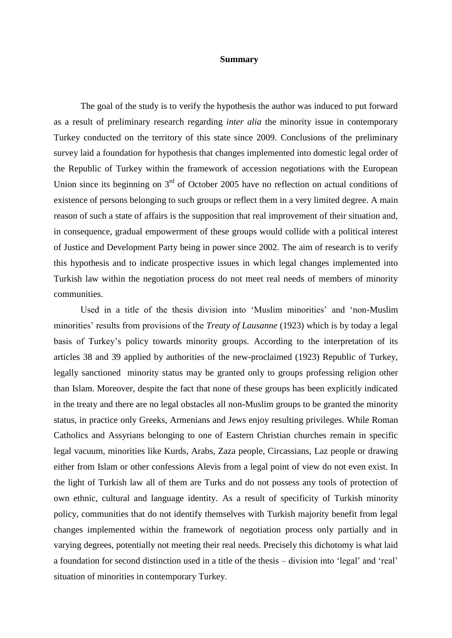## **Summary**

The goal of the study is to verify the hypothesis the author was induced to put forward as a result of preliminary research regarding *inter alia* the minority issue in contemporary Turkey conducted on the territory of this state since 2009. Conclusions of the preliminary survey laid a foundation for hypothesis that changes implemented into domestic legal order of the Republic of Turkey within the framework of accession negotiations with the European Union since its beginning on  $3<sup>rd</sup>$  of October 2005 have no reflection on actual conditions of existence of persons belonging to such groups or reflect them in a very limited degree. A main reason of such a state of affairs is the supposition that real improvement of their situation and, in consequence, gradual empowerment of these groups would collide with a political interest of Justice and Development Party being in power since 2002. The aim of research is to verify this hypothesis and to indicate prospective issues in which legal changes implemented into Turkish law within the negotiation process do not meet real needs of members of minority communities.

Used in a title of the thesis division into 'Muslim minorities' and 'non-Muslim minorities' results from provisions of the *Treaty of Lausanne* (1923) which is by today a legal basis of Turkey's policy towards minority groups. According to the interpretation of its articles 38 and 39 applied by authorities of the new-proclaimed (1923) Republic of Turkey, legally sanctioned minority status may be granted only to groups professing religion other than Islam. Moreover, despite the fact that none of these groups has been explicitly indicated in the treaty and there are no legal obstacles all non-Muslim groups to be granted the minority status, in practice only Greeks, Armenians and Jews enjoy resulting privileges. While Roman Catholics and Assyrians belonging to one of Eastern Christian churches remain in specific legal vacuum, minorities like Kurds, Arabs, Zaza people, Circassians, Laz people or drawing either from Islam or other confessions Alevis from a legal point of view do not even exist. In the light of Turkish law all of them are Turks and do not possess any tools of protection of own ethnic, cultural and language identity. As a result of specificity of Turkish minority policy, communities that do not identify themselves with Turkish majority benefit from legal changes implemented within the framework of negotiation process only partially and in varying degrees, potentially not meeting their real needs. Precisely this dichotomy is what laid a foundation for second distinction used in a title of the thesis – division into 'legal' and 'real' situation of minorities in contemporary Turkey.